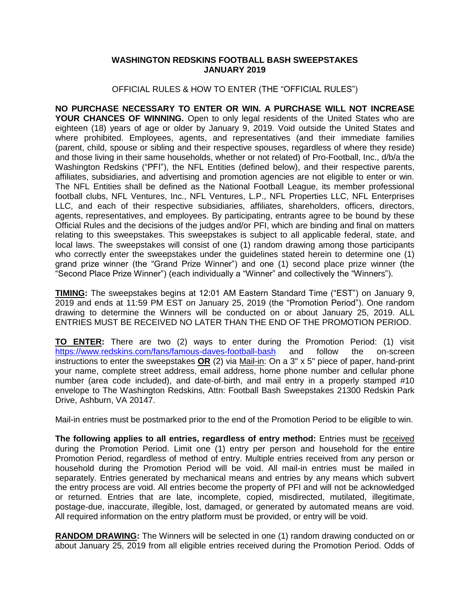## **WASHINGTON REDSKINS FOOTBALL BASH SWEEPSTAKES JANUARY 2019**

## OFFICIAL RULES & HOW TO ENTER (THE "OFFICIAL RULES")

**NO PURCHASE NECESSARY TO ENTER OR WIN. A PURCHASE WILL NOT INCREASE**  YOUR CHANCES OF WINNING. Open to only legal residents of the United States who are eighteen (18) years of age or older by January 9, 2019. Void outside the United States and where prohibited. Employees, agents, and representatives (and their immediate families (parent, child, spouse or sibling and their respective spouses, regardless of where they reside) and those living in their same households, whether or not related) of Pro-Football, Inc., d/b/a the Washington Redskins ("PFI"), the NFL Entities (defined below), and their respective parents, affiliates, subsidiaries, and advertising and promotion agencies are not eligible to enter or win. The NFL Entities shall be defined as the National Football League, its member professional football clubs, NFL Ventures, Inc., NFL Ventures, L.P., NFL Properties LLC, NFL Enterprises LLC, and each of their respective subsidiaries, affiliates, shareholders, officers, directors, agents, representatives, and employees. By participating, entrants agree to be bound by these Official Rules and the decisions of the judges and/or PFI, which are binding and final on matters relating to this sweepstakes. This sweepstakes is subject to all applicable federal, state, and local laws. The sweepstakes will consist of one (1) random drawing among those participants who correctly enter the sweepstakes under the guidelines stated herein to determine one (1) grand prize winner (the "Grand Prize Winner") and one (1) second place prize winner (the "Second Place Prize Winner") (each individually a "Winner" and collectively the "Winners").

**TIMING:** The sweepstakes begins at 12:01 AM Eastern Standard Time ("EST") on January 9, 2019 and ends at 11:59 PM EST on January 25, 2019 (the "Promotion Period"). One random drawing to determine the Winners will be conducted on or about January 25, 2019. ALL ENTRIES MUST BE RECEIVED NO LATER THAN THE END OF THE PROMOTION PERIOD.

**TO ENTER:** There are two (2) ways to enter during the Promotion Period: (1) visit <https://www.redskins.com/fans/famous-daves-football-bash> and follow the on-screen instructions to enter the sweepstakes **OR** (2) via Mail-in: On a 3" x 5" piece of paper, hand-print your name, complete street address, email address, home phone number and cellular phone number (area code included), and date-of-birth, and mail entry in a properly stamped #10 envelope to The Washington Redskins, Attn: Football Bash Sweepstakes 21300 Redskin Park Drive, Ashburn, VA 20147.

Mail-in entries must be postmarked prior to the end of the Promotion Period to be eligible to win.

The following applies to all entries, regardless of entry method: Entries must be received during the Promotion Period. Limit one (1) entry per person and household for the entire Promotion Period, regardless of method of entry. Multiple entries received from any person or household during the Promotion Period will be void. All mail-in entries must be mailed in separately. Entries generated by mechanical means and entries by any means which subvert the entry process are void. All entries become the property of PFI and will not be acknowledged or returned. Entries that are late, incomplete, copied, misdirected, mutilated, illegitimate, postage-due, inaccurate, illegible, lost, damaged, or generated by automated means are void. All required information on the entry platform must be provided, or entry will be void.

**RANDOM DRAWING:** The Winners will be selected in one (1) random drawing conducted on or about January 25, 2019 from all eligible entries received during the Promotion Period. Odds of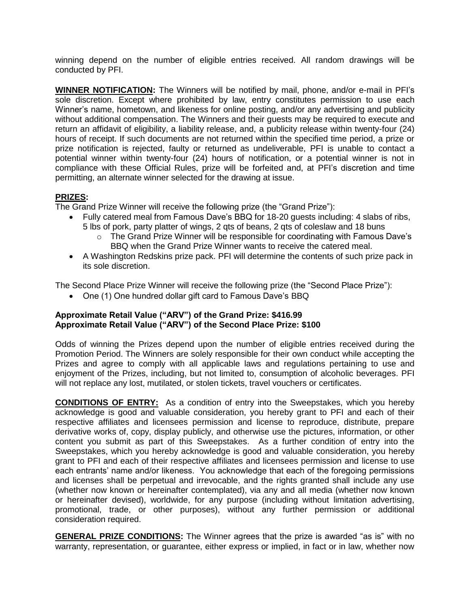winning depend on the number of eligible entries received. All random drawings will be conducted by PFI.

**WINNER NOTIFICATION:** The Winners will be notified by mail, phone, and/or e-mail in PFI's sole discretion. Except where prohibited by law, entry constitutes permission to use each Winner's name, hometown, and likeness for online posting, and/or any advertising and publicity without additional compensation. The Winners and their guests may be required to execute and return an affidavit of eligibility, a liability release, and, a publicity release within twenty-four (24) hours of receipt. If such documents are not returned within the specified time period, a prize or prize notification is rejected, faulty or returned as undeliverable, PFI is unable to contact a potential winner within twenty-four (24) hours of notification, or a potential winner is not in compliance with these Official Rules, prize will be forfeited and, at PFI's discretion and time permitting, an alternate winner selected for the drawing at issue.

## **PRIZES:**

The Grand Prize Winner will receive the following prize (the "Grand Prize"):

- Fully catered meal from Famous Dave's BBQ for 18-20 guests including: 4 slabs of ribs,
	- 5 lbs of pork, party platter of wings, 2 qts of beans, 2 qts of coleslaw and 18 buns o The Grand Prize Winner will be responsible for coordinating with Famous Dave's
		- BBQ when the Grand Prize Winner wants to receive the catered meal.
- A Washington Redskins prize pack. PFI will determine the contents of such prize pack in its sole discretion.

The Second Place Prize Winner will receive the following prize (the "Second Place Prize"):

• One (1) One hundred dollar gift card to Famous Dave's BBQ

## **Approximate Retail Value ("ARV") of the Grand Prize: \$416.99 Approximate Retail Value ("ARV") of the Second Place Prize: \$100**

Odds of winning the Prizes depend upon the number of eligible entries received during the Promotion Period. The Winners are solely responsible for their own conduct while accepting the Prizes and agree to comply with all applicable laws and regulations pertaining to use and enjoyment of the Prizes, including, but not limited to, consumption of alcoholic beverages. PFI will not replace any lost, mutilated, or stolen tickets, travel vouchers or certificates.

**CONDITIONS OF ENTRY:** As a condition of entry into the Sweepstakes, which you hereby acknowledge is good and valuable consideration, you hereby grant to PFI and each of their respective affiliates and licensees permission and license to reproduce, distribute, prepare derivative works of, copy, display publicly, and otherwise use the pictures, information, or other content you submit as part of this Sweepstakes. As a further condition of entry into the Sweepstakes, which you hereby acknowledge is good and valuable consideration, you hereby grant to PFI and each of their respective affiliates and licensees permission and license to use each entrants' name and/or likeness. You acknowledge that each of the foregoing permissions and licenses shall be perpetual and irrevocable, and the rights granted shall include any use (whether now known or hereinafter contemplated), via any and all media (whether now known or hereinafter devised), worldwide, for any purpose (including without limitation advertising, promotional, trade, or other purposes), without any further permission or additional consideration required.

**GENERAL PRIZE CONDITIONS:** The Winner agrees that the prize is awarded "as is" with no warranty, representation, or guarantee, either express or implied, in fact or in law, whether now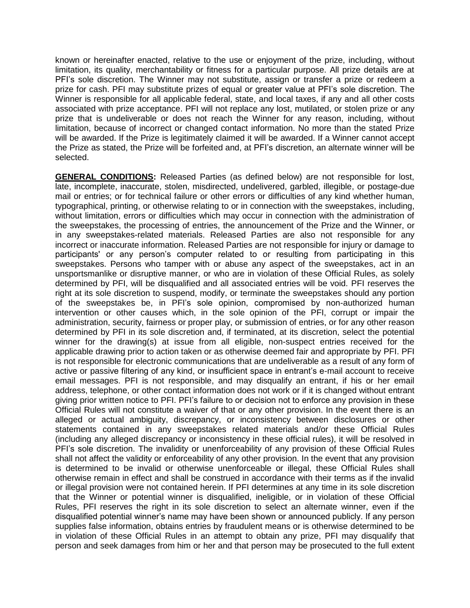known or hereinafter enacted, relative to the use or enjoyment of the prize, including, without limitation, its quality, merchantability or fitness for a particular purpose. All prize details are at PFI's sole discretion. The Winner may not substitute, assign or transfer a prize or redeem a prize for cash. PFI may substitute prizes of equal or greater value at PFI's sole discretion. The Winner is responsible for all applicable federal, state, and local taxes, if any and all other costs associated with prize acceptance. PFI will not replace any lost, mutilated, or stolen prize or any prize that is undeliverable or does not reach the Winner for any reason, including, without limitation, because of incorrect or changed contact information. No more than the stated Prize will be awarded. If the Prize is legitimately claimed it will be awarded. If a Winner cannot accept the Prize as stated, the Prize will be forfeited and, at PFI's discretion, an alternate winner will be selected.

**GENERAL CONDITIONS:** Released Parties (as defined below) are not responsible for lost, late, incomplete, inaccurate, stolen, misdirected, undelivered, garbled, illegible, or postage-due mail or entries; or for technical failure or other errors or difficulties of any kind whether human, typographical, printing, or otherwise relating to or in connection with the sweepstakes, including, without limitation, errors or difficulties which may occur in connection with the administration of the sweepstakes, the processing of entries, the announcement of the Prize and the Winner, or in any sweepstakes-related materials. Released Parties are also not responsible for any incorrect or inaccurate information. Released Parties are not responsible for injury or damage to participants' or any person's computer related to or resulting from participating in this sweepstakes. Persons who tamper with or abuse any aspect of the sweepstakes, act in an unsportsmanlike or disruptive manner, or who are in violation of these Official Rules, as solely determined by PFI, will be disqualified and all associated entries will be void. PFI reserves the right at its sole discretion to suspend, modify, or terminate the sweepstakes should any portion of the sweepstakes be, in PFI's sole opinion, compromised by non-authorized human intervention or other causes which, in the sole opinion of the PFI, corrupt or impair the administration, security, fairness or proper play, or submission of entries, or for any other reason determined by PFI in its sole discretion and, if terminated, at its discretion, select the potential winner for the drawing(s) at issue from all eligible, non-suspect entries received for the applicable drawing prior to action taken or as otherwise deemed fair and appropriate by PFI. PFI is not responsible for electronic communications that are undeliverable as a result of any form of active or passive filtering of any kind, or insufficient space in entrant's e-mail account to receive email messages. PFI is not responsible, and may disqualify an entrant, if his or her email address, telephone, or other contact information does not work or if it is changed without entrant giving prior written notice to PFI. PFI's failure to or decision not to enforce any provision in these Official Rules will not constitute a waiver of that or any other provision. In the event there is an alleged or actual ambiguity, discrepancy, or inconsistency between disclosures or other statements contained in any sweepstakes related materials and/or these Official Rules (including any alleged discrepancy or inconsistency in these official rules), it will be resolved in PFI's sole discretion. The invalidity or unenforceability of any provision of these Official Rules shall not affect the validity or enforceability of any other provision. In the event that any provision is determined to be invalid or otherwise unenforceable or illegal, these Official Rules shall otherwise remain in effect and shall be construed in accordance with their terms as if the invalid or illegal provision were not contained herein. If PFI determines at any time in its sole discretion that the Winner or potential winner is disqualified, ineligible, or in violation of these Official Rules, PFI reserves the right in its sole discretion to select an alternate winner, even if the disqualified potential winner's name may have been shown or announced publicly. If any person supplies false information, obtains entries by fraudulent means or is otherwise determined to be in violation of these Official Rules in an attempt to obtain any prize, PFI may disqualify that person and seek damages from him or her and that person may be prosecuted to the full extent